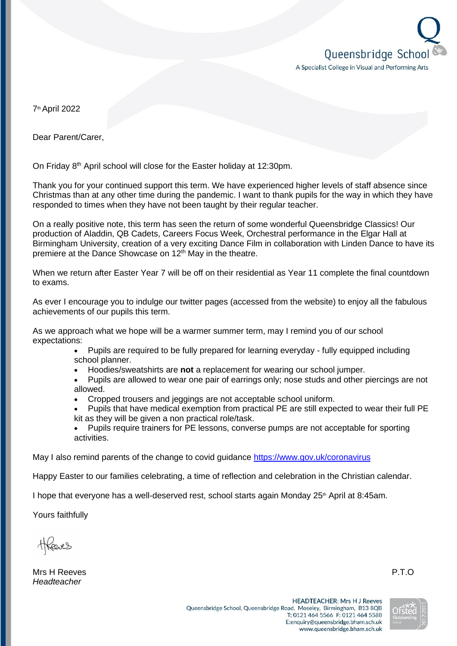

7th April 2022

Dear Parent/Carer,

On Friday 8th April school will close for the Easter holiday at 12:30pm.

Thank you for your continued support this term. We have experienced higher levels of staff absence since Christmas than at any other time during the pandemic. I want to thank pupils for the way in which they have responded to times when they have not been taught by their regular teacher.

On a really positive note, this term has seen the return of some wonderful Queensbridge Classics! Our production of Aladdin, QB Cadets, Careers Focus Week, Orchestral performance in the Elgar Hall at Birmingham University, creation of a very exciting Dance Film in collaboration with Linden Dance to have its premiere at the Dance Showcase on  $12<sup>th</sup>$  May in the theatre.

When we return after Easter Year 7 will be off on their residential as Year 11 complete the final countdown to exams.

As ever I encourage you to indulge our twitter pages (accessed from the website) to enjoy all the fabulous achievements of our pupils this term.

As we approach what we hope will be a warmer summer term, may I remind you of our school expectations:

- Pupils are required to be fully prepared for learning everyday fully equipped including school planner.
- Hoodies/sweatshirts are **not** a replacement for wearing our school jumper.
- Pupils are allowed to wear one pair of earrings only; nose studs and other piercings are not allowed.
- Cropped trousers and jeggings are not acceptable school uniform.
- Pupils that have medical exemption from practical PE are still expected to wear their full PE kit as they will be given a non practical role/task.
- Pupils require trainers for PE lessons, converse pumps are not acceptable for sporting activities.

May I also remind parents of the change to covid guidance <https://www.gov.uk/coronavirus>

Happy Easter to our families celebrating, a time of reflection and celebration in the Christian calendar.

I hope that everyone has a well-deserved rest, school starts again Monday  $25<sup>th</sup>$  April at 8:45am.

Yours faithfully

Mrs H Reeves P.T.O *Headteacher*